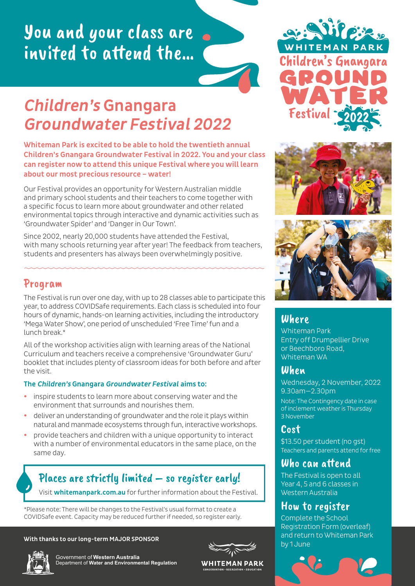# You and your class are invited to attend the…

# Children's Gnangara Groundwater Festival 2022

Whiteman Park is excited to be able to hold the twentieth annual Children's Gnangara Groundwater Festival in 2022. You and your class can register now to attend this unique Festival where you will learn about our most precious resource – water!

Our Festival provides an opportunity for Western Australian middle and primary school students and their teachers to come together with a specific focus to learn more about groundwater and other related environmental topics through interactive and dynamic activities such as 'Groundwater Spider' and 'Danger in Our Town'.

Since 2002, nearly 20,000 students have attended the Festival, with many schools returning year after year! The feedback from teachers, students and presenters has always been overwhelmingly positive.

#### Program

The Festival is run over one day, with up to 28 classes able to participate this year, to address COVIDSafe requirements. Each class is scheduled into four hours of dynamic, hands-on learning activities, including the introductory 'Mega Water Show', one period of unscheduled 'Free Time' fun and a lunch break<sup>\*</sup>

All of the workshop activities align with learning areas of the National Curriculum and teachers receive a comprehensive 'Groundwater Guru' booklet that includes plenty of classroom ideas for both before and after the visit.

#### The Children's Gnangara Groundwater Festival aims to:

- inspire students to learn more about conserving water and the environment that surrounds and nourishes them.
- deliver an understanding of groundwater and the role it plays within natural and manmade ecosystems through fun, interactive workshops.
- y provide teachers and children with a unique opportunity to interact with a number of environmental educators in the same place, on the same day.

# Places are strictly limited – so register early!

Visit [whitemanpark.com.au](http://whitemanpark.com.au) for further information about the Festival.

\*Please note: There will be changes to the Festival's usual format to create a COVIDSafe event. Capacity may be reduced further if needed, so register early.

#### With thanks to our long-term MAJOR SPONSOR







**WHITEMAN PARK** 







#### Where

Whiteman Park Entry off Drumpellier Drive or Beechboro Road, Whiteman WA

### When

Wednesday, 2 November, 2022 9.30am—2.30pm

Note: The Contingency date in case of inclement weather is Thursday 3 November

### Cost

\$13.50 per student (no gst) Teachers and parents attend for free

## Who can attend

The Festival is open to all Year 4, 5 and 6 classes in Western Australia

### How to register

Complete the School Registration Form (overleaf) and return to Whiteman Park by 1 June